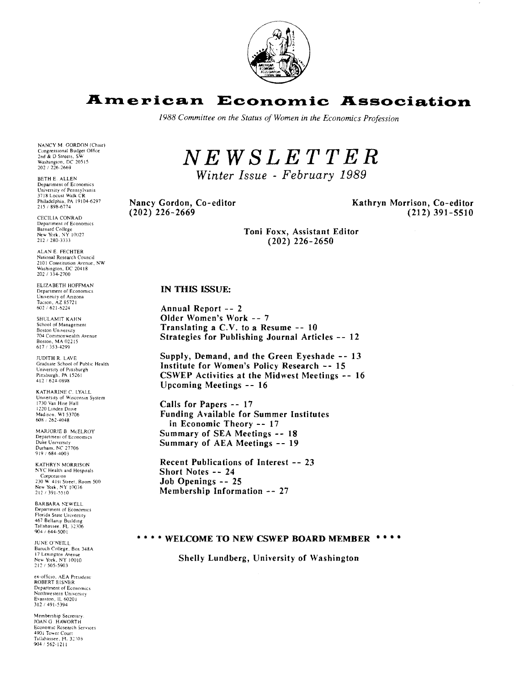

# **American Economic Association**

1988 Committee on the Status of Women in the Economics Profession

# NEWSLETTER

Winter Issue - February 1989

Nancy Gordon, Co-editor  $(202)$  226-2669

Kathryn Morrison, Co-editor  $(212)$  391-5510

Toni Foxx. Assistant Editor  $(202)$  226-2650

# IN THIS ISSUE:

Annual Report -- 2 Older Women's Work -- 7 Translating a  $C.V.$  to a Resume  $-10$ Strategies for Publishing Journal Articles -- 12

Supply, Demand, and the Green Eyeshade -- 13 Institute for Women's Policy Research -- 15 **CSWEP Activities at the Midwest Meetings -- 16** Upcoming Meetings -- 16

Calls for Papers -- 17 **Funding Available for Summer Institutes** in Economic Theory -- 17 Summary of SEA Meetings -- 18 Summary of AEA Meetings -- 19

Recent Publications of Interest -- 23 Short Notes -- 24 Job Openings -- 25 Membership Information -- 27

# \*\*\*\* WELCOME TO NEW CSWEP BOARD MEMBER \*\*\*\*

Shelly Lundberg, University of Washington

NANCY M. GORDON (Chair) NAINET M. GORDON (Chain<br>Congressional Budget Office<br>2nd & D Streets, SW<br>Washington, DC 20515<br>202 / 226-2669

BETH E. ALLEN Department of Economics Department of Economics<br>University of Pennsylvania 3718 Locust Walk CR Philadelphia, PA 19104-6297<br>215 / 898-6774

CECILIA CONRAD Department of Economics Barnard College<br>Barnard College<br>New York, NY 10027 212 / 280-3333

ALAN E. FECHTER National Research Council 2101 Constitution Avenue, NW Washington, DC 20418 202 / 334-2700

ELIZABETH HOEFMAN Department of Economics University of Arizona<br>Tueson, AZ 85721<br>602 / 621-6224

**SHULAMIT KAHN** School of Management<br>Boston University 704 Commonwealth Avenue<br>Boston, MA 02215<br>617 / 353-4299

**IUDITH R I AVE** Graduate School of Public Health University of Pittsburgh<br>Pittsburgh. PA 15261<br>412 / 624-0898

KATHARINE C. LYALL University of Wisconsin System<br>1730 Van Hise Hall 1220 Linden Drive<br>Madison, W1 53706<br>608 / 262-4048

MARJORIE B. McELROY MARJURIE B. MCELINO<br>Department of Economics<br>Duke University<br>Durham, NC 27706 919 / 684-4003

**KATHRYN MORRISON** NYC Health and Hospitals Corporation<br>
230 W. 41st Street, Room 500 New York, NY 10036<br>212 / 391-5510

**BARBARA NEWELL** Department of Economics<br>Florida State University 467 Bellamy Building<br>Tallahassee, FL 32306<br>904 / 644-5001

JUNE O'NEILL Baruch College, Box 348A New York, NY 10010<br>212 / 505-5903

ex-officio, AEA President<br>ROBERT EISNER Department of Economics Northwestern University Evanston, IL 60201<br>312 / 491-5394

Membership Secretary JOAN G. HAWORTH Economic Research Services 4901 Tower Court<br>Tallahassee, FL 32303 904 / 562-1211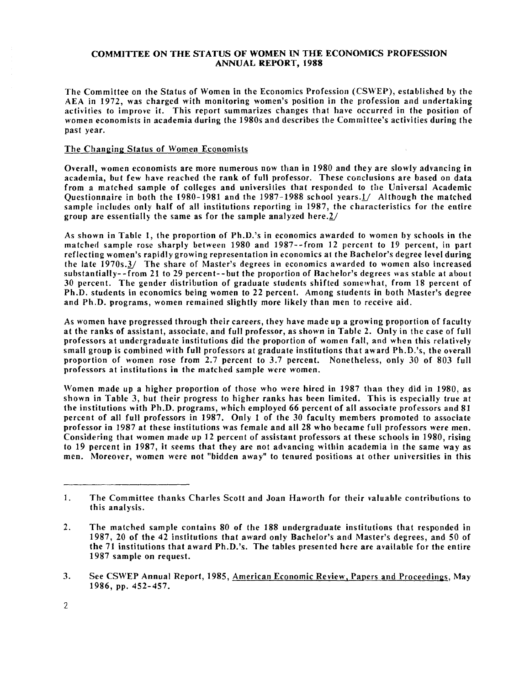# **COMMITTEE ON THE STATUS OF WOMEN IN** THE **ECONOMICS PROFESSION ANNUAL REPORT, 1988**

The Committee on the Status of Women in the Economics Profession **(CSWEP),** established by the AEA in 1972, was charged with monitoring women's position in the profession and undertaking activities to improve it. This report summarizes changes that have occurred in the position of women economists in academia during the 1980s and describes the Committee's activities during the past year.

## The Changing Status of Women Economists

Overall, women economists are more numerous now than in 1980 and they are slowly advancing in academia, but few have reached the rank of full professor. These conclusions are based on data from a matched sample of colleges and universilies that responded to the Universal Academic Questionnaire in both the 1980-1981 and the 1987-1988 school years. $1/$  Although the matched sample includes only half of all institutions reporting in 1987, the characteristics for the entire group are essentially the same as for the sample analyzed here. $2/$ 

As shown in Table 1, the proportion of Ph.D.'s in economics awarded to women by schools in the matched sample rose sharply between 1980 and 1987--from 12 percent to 19 percent, in part reflecting women's rapidly growing representation in economics at the Bachelor's degree level during the late  $1970s.3/$  The share of Master's degrees in economics awarded to women also increased substantially- - from 21 to 29 percent- - but the proportion of Rachelor's degrees was stable at about 30 percent. The gender distribution of graduate students shifted sonrewhat, from 18 percent of Ph.D. students in economics being women to 22 percent. Among students in both Master's degree and Ph.D. programs, women remained slightly more likely than men to receive aid.

As women have progressed through their careers, they have made up a growing proportion of faculty at the ranks of assistant, associate, and full professor, as shown in Table 2. Only in the case of full professors at undergraduate institutions did the proportion of women fall, and when this relatively small group is combined with full professors at graduate institutions that award Ph.D.'s, the overall proportion of women rose from 2.7 percent to 3.7 percent. Nonetheless, only 30 of 803 full professors at institutions in the matched sample were women.

Women made up a higher proportion of those who were hired in 1987 than they did in 1980, as shown in Table 3, but their progress to higher ranks has been limited. This is especially true at the institutions with Ph.D. programs, which employed 66 percent of all associate professors and 81 percent of all full professors in 1987. Only 1 of the 30 faculty members promoted to associate professor in 1987 at these institutions was female and all 28 who became full professors were men. Considering that women made up 12 percent of assistant professors at these schools in 1980, rising to 19 percent in 1987, it seems that they are not advancing within academia in the same way as men. Moreover, women were not "bidden away" to tenured positions at other universities in this

<sup>1.</sup> The Committee thanks Charles Scott and Joan Haworth for their valuable contributions to this analysis.

**<sup>2.</sup>** The matched sample contains 80 of the 188 undergraduate institutions that responded in 1987, 20 of the 42 institutions that award only Bachelor's and Master's degrees, and 50 of the 71 institutions that award Ph.D.'s. The tables presented here are available for the entire 1987 sample on request.

**<sup>3.</sup>** See CSWEP Annual Report, 1985, American Economic Review. Pauers and Proceedings, May 1986, pp. 452-457.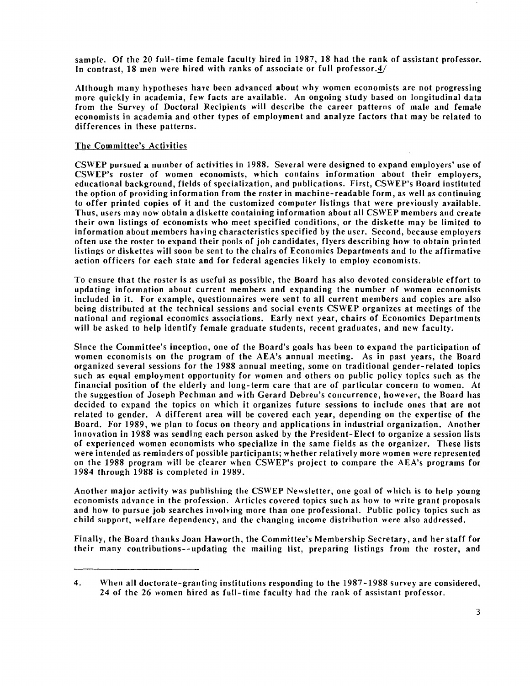sample, Of the 20 full-time female faculty hired in 1987, 18 had the rank of assistant professor. In contrast, 18 men were hired with ranks of associate or full professor. $4/$ 

Although many hypotheses have been advanced about why women economists are not progressing more quickly in academia, few facts are available. An ongoing study based on longitudinal data from the Survey of Doctoral Recipients will describe the career patterns of male and female economists in academia and other types of employment and analyze factors that may be related to differences in these patterns.

# The Committee's Activities

CSWEP pursued a number of activities in 1988. Several were designed to expand employers' use of CSWEP's roster of women economists, which contains information about their employers, educational background, fields of specialization, and publications. First, CSWEP's Board instituted the option of providing information from the roster in machine-readable form, as well as continuing to offer printed copies of it and the customized computer listings that were previously available. Thus, users may now obtain a diskette containing information about all CSWEP members and create their own listings of economists who meet specified conditions, or the diskette may be limited to information about members having characteristics specified by the user. Second, because employers often use the roster to expand their pools of job candidates, flyers describing how to obtain printed listings or diskettes will soon be sent to the chairs of Economics Departments and to the affirmative action officers for each state and for federal agencies likely to employ economists.

To ensure that the roster is as useful as possible, the Board has also devoted considerable effort to updating information about current members and expanding the number of women economists included in it. For example, questionnaires were sent to all current members and copies are also being distributed at the technical sessions and social events CSWEP organizes at meetings of the national and regional economics associations. Early next year, chairs of Economics Departments will be asked to help identify female graduate students, recent graduates, and new faculty.

Since the Committee's inception, one of the Board's goals has been to expand the participation of women economists on the program of the AEA's annual meeting. As in past years, the Board organized several sessions for the 1988 annual meeting, some on traditional gender-related topics such as equal employment opportunity for women and others on public policy topics such as the financial position of the elderly and long-term care that are of particular concern to women. At the suggestion of Joseph Pechman and with Gerard Debreu's concurrence, however, the Board has decided to expand the topics on which it organizes future sessions to include ones that are not related to gender, A different area will be covered each year, depending on the expertise of the Board. For 1989, we plan to focus on theory and applications in industrial organization. Another innovation in 1988 was sending each person asked by the President-Elect to organize a session lists of experienced women economists who specialize in the same fields as the organizer. These lists were intended as reminders of possible participants; whether relatively more women were represented on the 1988 program will be clearer when CSWEP's project to compare the AEA's programs for 1984 through 1988 is completed in 1989.

Another major activity was publishing the CSWEP Newsletter, one goal of which is to help young economists advance in the profession. Articles covered topics such as how to write grant proposals and how to pursue job searches involving more than one professional. Public policy topics such as child support, welfare dependency, and the changing income distribution were also addressed.

Finally, the Board thanks Joan Haworth, the Committee's Membership Secretary, and her staff for their many contributions--updating the mailing list, preparing listings from the roster, and

<sup>4.</sup> When all doctorate-granting institutions responding to the 1987-1988 survey are considered, 24 of the 26 women hired as full-time faculty had the rank of assistant professor.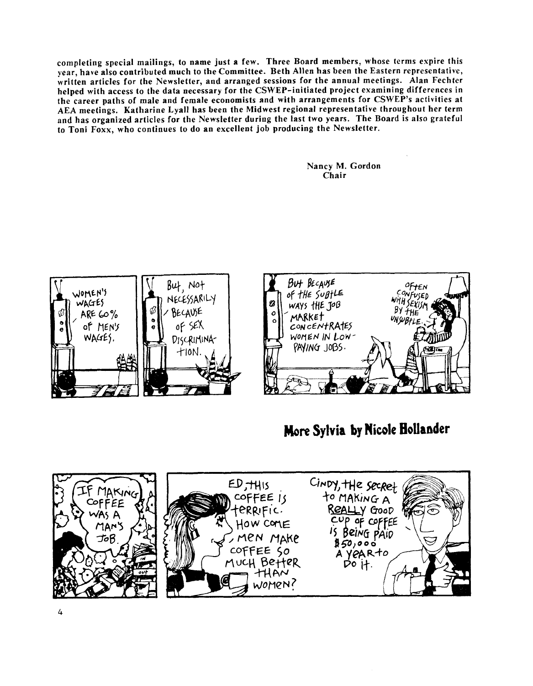completing special mailings, to name just a few. Three Board members, whose terms expire this year, have also contributed much to the Committee. Beth Allen has been the Eastern representative, written articles for the Newsletter, and arranged sessions for the annual meetings. Alan Fechter helped with access to the data necessary for the CSWEP-initiated project examining differences in the career paths of male and female economists and with arrangements for CSWEP's activities at AEA meetings. Katharine Lyall has been the Midwest regional representative throughout her term and has organized articles for the Newsletter during the last two years. The Board is also grateful to Toni Foxx, who continues to do an excellent job producing the Newsletter.

> Nancy M. Gordon Chair



# **Mom Sylvia by Nicole BoUander**

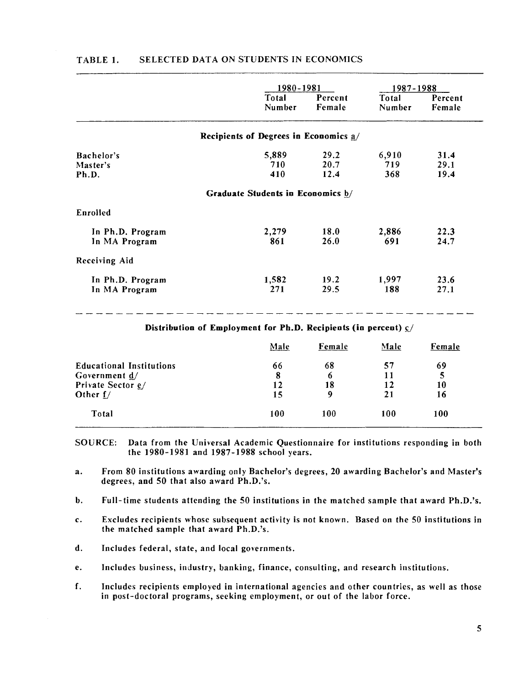|                                   |                                         | 1980-1981         |                 | 1987-1988         |  |
|-----------------------------------|-----------------------------------------|-------------------|-----------------|-------------------|--|
|                                   | Total<br>Number                         | Percent<br>Female | Total<br>Number | Percent<br>Female |  |
|                                   | Recipients of Degrees in Economics $a/$ |                   |                 |                   |  |
| Bachelor's                        | 5,889                                   | 29.2              | 6,910           | 31.4              |  |
| Master's<br>Ph.D.                 | 710<br>410                              | 20.7<br>12.4      | 719<br>368      | 29.1<br>19.4      |  |
| Enrolled                          | Graduate Students in Economics b/       |                   |                 |                   |  |
| In Ph.D. Program<br>In MA Program | 2,279<br>861                            | 18.0<br>26.0      | 2,886<br>691    | 22.3<br>24.7      |  |
| Receiving Aid                     |                                         |                   |                 |                   |  |
| In Ph.D. Program<br>In MA Program | 1,582<br>271                            | 19.2<br>29.5      | 1,997<br>188    | 23.6<br>27.1      |  |

# TABLE 1. SELECTED DATA ON STUDENTS IN ECONOMICS

Distribution of Employment for Ph.D. Recipients (in percent) *CJ* 

|                                 | Male | Female | Male | Female |
|---------------------------------|------|--------|------|--------|
| <b>Educational Institutions</b> | 66   | 68     | 57   | 69     |
| Government $\frac{d}{ }$        | 8    | 6      | 11   |        |
| Private Sector e/               | 12   | 18     | 12   | 10     |
| Other $f/$                      | 15   | 9      | 21   | 16     |
| Total                           | 100  | 100    | 100  | 100    |

SOURCE: Data from the Universal Academic Questionnaire for institutions responding in both the 1980-1981 and 1987-1988 school years.

a. From 80 institutions awarding only Bachelor's degrees, 20 awarding Bachelor's and Master's degrees, and 50 that also award Ph.D.'s.

b. Full-time students attending the 50 institutions in the matched sample that award Ph.D.'s.

- c. Excludes recipients whose subsequent activity is not known. Based on the 50 institutions in the matched sample that award Ph.D.'s.
- d. Includes federal, state, and local governments.
- e. Includes business, industry, banking, finance, consulting, and research institutions.
- f. Includes recipients employed in international agencies and other countries, as well as those in post-doctoral programs, seeking employment, or out of the labor force.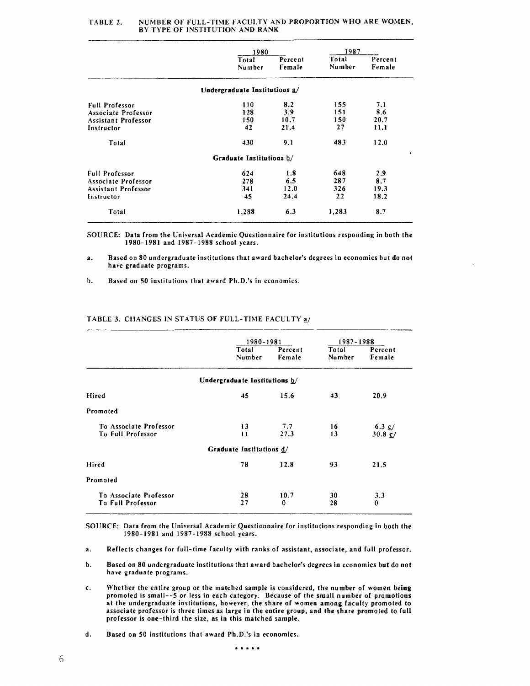|                       | 1980                          |                   | 1987            |                   |
|-----------------------|-------------------------------|-------------------|-----------------|-------------------|
|                       | Total<br>Number               | Percent<br>Female | Total<br>Number | Percent<br>Female |
|                       | Undergraduate Institutions a/ |                   |                 |                   |
| <b>Full Professor</b> | 110                           | 8.2               | 155             | 7.1               |
| Associate Professor   | 128                           | 3.9               | 151             | 8.6               |
| Assistant Professor   | 150                           | 10.7              | 150             | 20.7              |
| Instructor            | 42                            | 21.4              | 27              | 11.1              |
| Total                 | 430                           | 9.1               | 483             | 12.0              |
|                       | Graduate Institutions b/      |                   |                 |                   |
| <b>Full Professor</b> | 624                           | 1.8               | 648             | 2.9               |
| Associate Professor   | 278                           | 6.5               | 287             | 8.7               |
| Assistant Professor   | 341                           | 12.0              | 326             | 19.3              |
| Instructor            | 45                            | 24.4              | 22              | 18.2              |
| Total                 | 1,288                         | 6.3               | 1,283           | 8,7               |

#### TABLE 2. NUMBER OF FULL-TIME FACULTY AND PROPORTION WHO ARE WOMEN, BY TYPE OF INSTITUTION AND RANK

SOURCE: Data from the Universal Academic Questionnaire for institutions responding in both the 1980-1981 and 1987- I988 school years.

**a.** Based on 80 undergraduate institutions that award bachelor's degrees in economics but do not have graduate programs.

b. Based on 50 institutions that award Ph.D.'s in economics.

#### TABLE 3. CHANGES IN STATUS OF FULL-TIhlE FACULTY *aJ*

|                                                    | 1980-1981                     |                   | 1987-1988       |                                    |
|----------------------------------------------------|-------------------------------|-------------------|-----------------|------------------------------------|
|                                                    | Total<br>Number               | Percent<br>Female | Total<br>Number | Percent<br>Female                  |
|                                                    | Undergraduate Institutions b/ |                   |                 |                                    |
| Hired                                              | 45                            | 15.6              | 43              | 20.9                               |
| Promoted                                           |                               |                   |                 |                                    |
| To Associate Professor<br><b>To Full Professor</b> | 13<br>11                      | 7.7<br>27.3       | 16<br>13        | 6.3 $\epsilon$<br>$30.8 \text{ C}$ |
|                                                    | Graduate Institutions d/      |                   |                 |                                    |
| Hired                                              | 78                            | 12.8              | 93              | 21.5                               |
| Promoted                                           |                               |                   |                 |                                    |
| To Associate Professor<br><b>To Full Professor</b> | 28<br>27                      | 10.7<br>$\bf{0}$  | 30<br>28        | 3.3<br>0                           |

SOURCE: Data from the Universal Academic Questionnaire for institutions responding in both the 1980-1981 and 1987-1988 school years.

a. Reflects changes for full-time faculty with ranks of assistant, associate, and full professor.

- b. Based on 80 undergraduate institutions that award bachelor's degrees in economics but do not have graduate programs.
- c. Whether the entire group or the matched sample is considered, the number of women being promoted is small--5 or less in each category. Because of the small number of promotions at the undergraduate institutions, however, the share of women among faculty promoted to associate professor is three times as large in the entire group, and the share promoted to full professor is one-third the size, as in this matched sample.
- d. Based on 50 institutions that award Ph.D.'s in economics.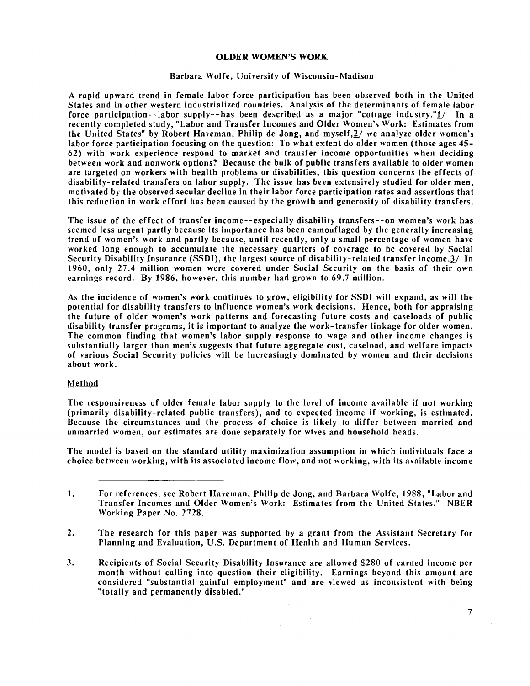## **OLDER WOMEN'S WORK**

#### Barbara Wolfe, University of Wisconsin-Madison

A rapid upward trend in female labor force participation has been observed both in the United States and in other western industrialized countries. Analysis of the determinants of female labor force participation--labor supply--has been described as a major "cottage industry." $1/$  In a recently completed study, "Labor and Transfer Incomes and Older Women's Work: Estimates from the United States" by Robert Haveman, Philip de Jong, and myself,2/ we analyze older women's labor force participation focusing on the question: To what extent do older women (those ages **45-**  62) with work experience respond to market and transfer income opportunities. when deciding between work and nonwork options? Because the bulk of public transfers available to older women are targeted on workers with health problems or disabilities, this question concerns the effects of disability-related transfers on labor supply. The issue has been extensively studied for older men, motivated by the observed secular decline in their labor force participation rates and assertions that this reduction in work effort has been caused by the growth and generosity of disability transfers.

The issue of the effect of transfer income--especially disability transfers--on women's work has seemed less urgent partly because its importance has been camouflaged by the generally increasing trend of women's work and partly because, until recently, only a small percentage of women have worked long enough to accumulate the necessary quarters of coverage to be covered by Social Security Disability Insurance (SSDI), the largest source of disability-related transfer income.3/ In 1960, only 27.4 million women were covered under Social Security on the basis of their own earnings record. By 1986, however, this number had grown to 69.7 million.

As the incidence of women's work continues to grow, eligibility for SSDI will expand, as will the potential for disability transfers to influence women's work decisions. Hence, both for appraising the future of older women's work patterns and forecasting future costs and caseloads of public disability transfer programs, it is important to analyze the work-transfer linkage for older women. The common finding that women's labor supply response to wage and other income changes is substantially larger than men's suggests that future aggregate cost, caseload, and welfare impacts of various Social Security policies will be increasingly dominated by women and their decisions about work.

# Method

The responsiveness of older female labor supply to the level of income available if not working (primarily disability-related public transfers), and to expected income if working, is estimated. Because the circumstances and the process of choice is likely to differ between married and unmarried women, our estimates are done separately for wives and household heads.

The model is based on the standard utility maximization assumption in which individuals face a choice between working, with its associated income flow, and not working, with its available income

- 1. For references, see Robert Haveman, Philip de Jong, and Barbara Wolfe, 1988, "Labor and Transfer Incomes and Older Women's Work: Estimates from the United States." NBER Working Paper No. 2728.
- **2.** The research for this paper was supported by a grant from the Assistant Secretary for Planning and Evaluation, U.S. Department of Health and Human Services.
- **3.** Recipients of Social Security Disability Insurance are allowed \$280 of earned income per month without calling into question their eligibility. Earnings beyond this amount are considered "substantial gainful employment" and are viewed as inconsistent with being "totally and permanently disabled."

 $\overline{7}$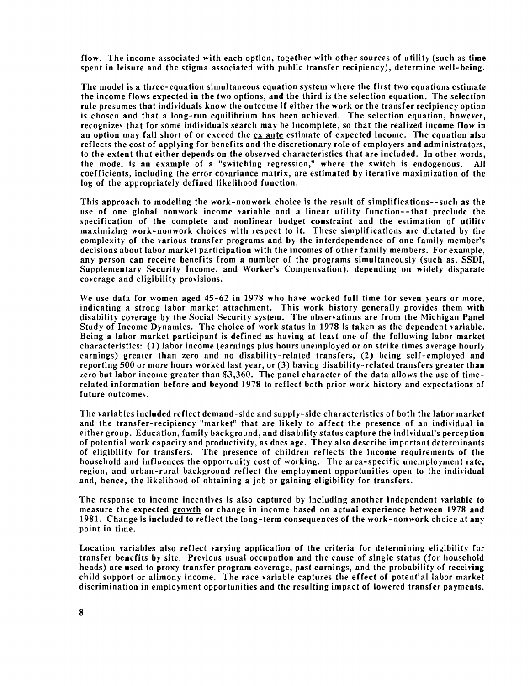flow. The income associated with each option, together with other sources of utility (such as time spent in leisure and the stigma associated with public transfer recipiency), determine well-being.

The model is a three-equation simultaneous equation system where the first two equations estimate the income flows expected in the two options, and the third is the selection equation. The selection rule presumes that individuals know the outcome if either the work or the transfer recipiency option is chosen and that a long-run equilibrium has been achieved. The selection equation, however, recognizes that for some individuals search may be incomplete, so that the realized income flow in an option may fall short of or exceed the ex ante estimate of expected income. The equation also reflects the cost of applying for benefits and the discretionary role of employers and administrators, to the extent that either depends on the observed characteristics that are included. In other words, the model is an example of a "switching regression," where the switch is endogenous. All coefficients, including the error covariance matrix, are estimated by iterative maximization of the log of the appropriately defined likelihood function.

This approach to modeling the work-nonwork choice is the result of simplifications--such as the use of one global nonwork income variable and a linear utility function--that preclude the specification of the complete and nonlinear budget constraint and the estimation of utility maximizing work-nonwork choices with respect to it. These simplifications are dictated by the complexity of the various transfer programs and by the interdependence of one family member's decisions about labor market participation with the incomes of other family members. For example, any person can receive benefits from a number of the programs simultaneously (such as, SSDI, Supplementary Security Income, and Worker's Compensation), depending on widely disparate coverage and eligibility provisions.

We use data for women aged 45-62 in 1978 who have worked full time for seven years or more, indicating a strong labor market attachment. This work history generally provides them with disability coverage by the Social Security system. The observations are from the Michigan Panel Study of Income Dynamics. The choice of work status in 1978 is taken as the dependent variable. Being a labor market participant is defined as having at least one of the following labor market characteristics: (1) labor income (earnings plus hours unemployed or on strike times average hourly earnings) greater than zero and no disability-related transfers, (2) being self-employed and reporting 500 or more hours worked last year, or (3) having disability-related transfers greater than zero but labor income greater than \$3,360. The panel character of the data allows the use of timerelated information before and beyond 1978 to reflect both prior work history and expectations of future outcomes.

The variables included reflect demand-side and supply-side characteristics of both the labor market and the transfer-recipiency "market" that are likely to affect the presence of an individual in either group. Education, family background, and disability status capture the individual's perception of potential work capacity and productivity, as does age. They also describe important determinants of eligibility for transfers. The presence of children reflects the income requirements of the household and influences the opportunity cost of working. The area-specific unemployment rate, region, and urban-rural background reflect the employment opportunities open to the individual and, hence, the likelihood of obtaining a job or gaining eligibility for transfers.

The response to income incentives is also captured by including another independent variable to measure the expected growth or change in income based on actual experience between 1978 and 1981. Change is included to reflect the long-term consequences of the work-nonwork choice at any point in time.

Location variables also reflect varying application of the criteria for determining eligibility for transfer benefits by site. Previous usual occupation and the cause of single status (for household heads) are used to proxy transfer program coverage, past earnings, and the probability of receiving child support or alimony income. The race variable captures the effect of potential labor market discrimination in employment opportunities and the resulting impact of lowered transfer payments.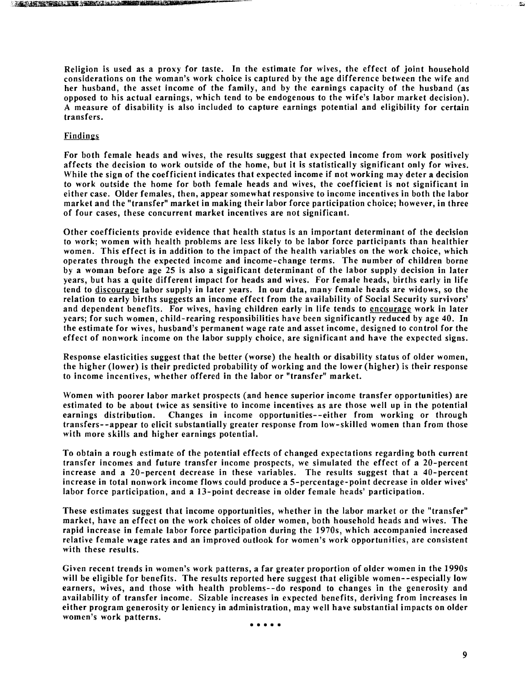ANDERS AND A STANDARD MARINE

Religion is used as a proxy for taste. In the estimate for wives, the effect of joint household considerations on the woman's work choice is captured by the age difference between the wife and her husband, the asset income of the family, and by the earnings capacity of the husband (as opposed to his actual earnings, which tend to be endogenous to the wife's labor market decision). **A** measure of disability is also included to capture earnings potential and eligibility for certain transfers.

# Findings

For both female heads and wives, the results suggest that expected income from work positively affects the decision to work outside of the home, but it is statistically significant only for wives. While the sign of the coefficient indicates that expected income if not working may deter a decision to work outside the home for both female heads and wives, the coefficient is not significant in either case. Older females, then, appear somewhat responsive to income incentives in both the labor market and the "transfer" market in making their labor force participation choice; however, in three of four cases, these concurrent market incentives are not significant.

Other coefficients provide evidence that health status is an important determinant of the decision to work; women with health problems are less likely to be labor force participants than healthier women. This effect is in addition to the impact of the health variables on the work choice, which operates through the expected income and income-change terms. The number of children borne by a woman before age 25 is also a significant determinant of the labor supply decision in later years, but has a quite different impact for heads and wives. For female heads, births early in life tend to discourage labor supply in later years. In our data, many female heads are widows, so the relation to early births suggests an income effect from the availability of Social Security survivors' and dependent benefits. For wives, having children early in life tends to encourage work in later years; for such women, child-rearing responsibilities have been significantly reduced by age 40. In the estimate for wives, husband's permanent wage rate and asset income, designed to control for the effect of nonwork income on the labor supply choice, are significant and have the expected signs.

Response elasticities suggest that the better (worse) the health or disability status of older women, the higher (lower) is their predicted probability of working and the lower (higher) is their response to income incentives, whether offered in the labor or "transfer" market.

Women with poorer labor market prospects (and hence superior income transfer opportunities) are estimated to be about twice as sensitive to income incentives as are those well up in the potential earnings distribution. Changes in income opportunities--either from working or through transfers--appear to elicit substantially greater response from low-skilled women than from those with more skills and higher earnings potential.

To obtain a rough estimate of the potential effects of changed expectations regarding both current transfer incomes and future transfer income prospects, we simulated the effect of a 20-percent increase and a 20-percent decrease in these variables. The results suggest that a 40-percent increase in total nonwork income flows could produce a 5-percentage-point decrease in older wives' labor force participation, and a 13-point decrease in older female heads' participation.

These estimates suggest that income opportunities, whether in the labor market or the "transfer" market, have an effect on the work choices of older women, both household heads and wives. The rapid increase in female labor force participation during the 1970s, which accompanied increased relative female wage rates and an improved outlook for women's work opportunities, are consistent with these results.

Given recent trends in women's work patterns, a far greater proportion of older women in the 1990s will be eligible for benefits. The results reported here suggest that eligible women--especially low earners, wives, and those with health problems--do respond to changes in the generosity and availability of transfer income. Sizable increases in expected benefits, deriving from increases in either program generosity or leniency in administration, may well have substantial impacts on older women's work patterns.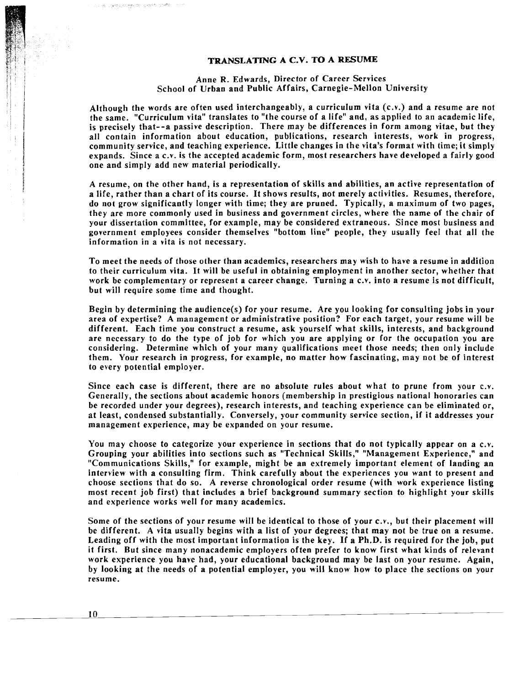# **TRANSLATING A C.V. TO A RESUME**

# Anne R. Edwards, Director of Career Services School of Urban and Public Affairs, Carnegie-Mellon University

Although the words are often used interchangeably, a curriculum vita  $(c.v.)$  and a resume are not the same. "Curriculum vita" translates to "the course of a life" and, as applied to an academic life, is precisely that--a passive description. There may be differences in form among vitae, but they all contain information about education, publications, research interests, work in progress, community service, and teaching experience. Little changes in the vita's format with time; it simply expands. Since a C.V. is the accepted academic form, most researchers have developed a fairly good one and simply add new material periodically.

A resume, on the other hand, is a representation of skills and abilities, an active representation of a life, rather than a chart of its course. It shows results, not merely activities. Resumes, therefore, do not grow significantly longer with time; they are pruned. Typically, a maximum of two pages, they are more commonly used in business and government circles, where the name of the chair of your dissertation committee, for example, may be considered extraneous. Since most business and government employees consider themselves "bottom line" people, they usually feel that all the information in a vita is not necessary.

To meet the needs of those other than academics, researchers may wish to have a resume in addition to their curriculum vita. It will be useful in obtaining employment in another sector, whether that work be complementary or represent a career change. Turning a C.V. into a resume is not difficult, but will require some time and thought.

Begin by determining the audience(s) for your resume. Are you looking for consulting jobs in your area of expertise? A management or administrative position? For each target, your resume will be different. Each time you construct a resume, ask yourself what skills, interests, and background are necessary to do the type of job for which you are applying or for the occupation you are considering. Determine which of your many qualifications meet those needs; then only include them. Your research in progress, for example, no matter how fascinating, may not be of interest to every potential employer.

Since each case is different, there are no absolute rules about what to prune from your C.V. Generally, the sections about academic honors (membership in prestigious national honoraries can be recorded under your degrees), research interests, and teaching experience can be eliminated or, at least, condensed substantially. Conversely, your community service section, if it addresses your management experience, may be expanded on your resume.

You may choose to categorize your experience in sections that do not typically appear on a C.V. Grouping your abilities into sections such as "Technical Skills," "Management Experience," and "Communications Skills," for example, might be an extremely important element of landing an interview with a consulting firm. Think carefully about the experiences you want to present and choose sections that do so. A reverse chronological order resume (with work experience listing most recent job first) that includes a brief background summary section to highlight your skills and experience works well for many academics.

Some of the sections of your resume will be identical to those of your c.v., but their placement will be different. A vita usually begins with a list of your degrees; that may not be true on a resume. Leading off with the most important information is the key. If a Ph.D. is required for the job, put it first. But since many nonacademic employers often prefer to know first what kinds of relevant work experience you have had, your educational background may be last on your resume. Again, by looking at the needs of a potential employer, you will know how to place the sections on your resume.

10

第二种奈何地的 的变形 机柳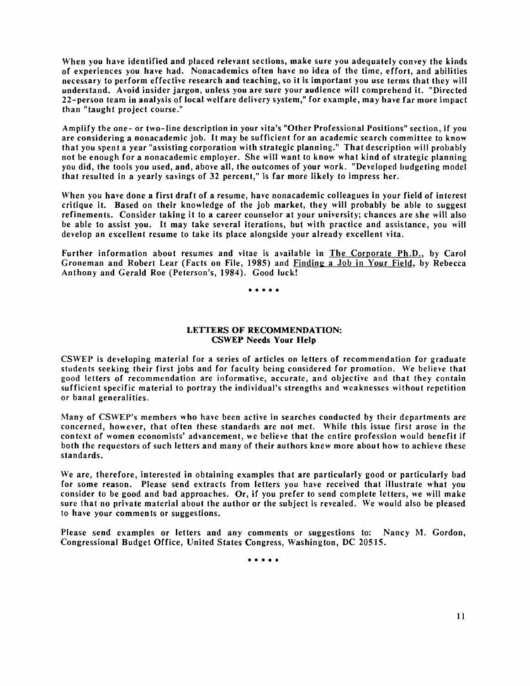When you have identified and placed relevant sections, make sure you adequately convey the kinds of experiences you have had. Nonacademics often have no idea of the time, effort, and abilities necessary to perform effective research and teaching, so it is important you use terms that they will understand. Avoid insider jargon, unless you are sure your audience will comprehend it. "Directed 22-person team in analysis of local welfare delivery system," for example, may have far more impact than "taught project course."

Amplify the one- or two-line description in your vita's "Other Professional Positions" section, if you are considering a nonacademic job. It may be sufficient for an academic search committee to know that you spent a year "assisting corporation with strategic planning." That description will probably not be enough for a nonacademic employer. She will want to know what kind of strategic planning you did, the tools you used, and, above all, the outcomes of your work. "Developed budgeting model that resulted in a yearly savings of 32 percent," is far more likely to impress her.

When you have done a first draft of a resume, have nonacademic colleagues in your field of interest critique it. Based on their knowledge of the job market, they will probably be able to suggest refinements. Consider taking it to a career counselor at your university; chances are she will also be able to assist you. It may take several iterations, but with practice and assistance, you will develop an excellent resume to take its place alongside your already excellent vita.

Further information about resumes and vitae is available in The Corporate Ph.D., by Carol Groneman and Robert Lear (Facts on File, 1985) and Findinp a Job in Your Field, by Rebecca Anthony and Gerald Roe (Peterson's, 1984). Good luck!

. . . . .

# LETTERS OF RECOMMENDATION: CSWEP **Needs** Your Help

CSWEP is developing material for a series of articles on letters of recommendation for graduate students seeking their first jobs and for faculty being considered for promotion. We believe that good letters of recommendation are informative, accurate, and objective and that they contain sufficient specific material to portray the individual's strengths and weaknesses without repetition or banal generalities.

Many of CSWEP's members who have been active in searches conducted by their departments are concerned, however, that often these standards are not met. While this issue first arose in the context of women economists' advancement, we believe that the entire profession would benefit if both the requestors of such letters and many of their authors knew more about how to achieve these standards.

We are, therefore, interested in obtaining examples that are particularly good or particularly bad for some reason. Please send extracts from letters you have received that illustrate what you consider to be good and bad approaches. Or, if you prefer to send complete letters, we will make sure that no private material about the author or the subject is revealed. We would also be pleased to have your comments or suggestions.

Please send examples or letters and any comments or suggestions to: Nancy *hl.* Gordon, Congressional Budget Office, United States Congress, Washington, DC 20515.

. . . . .